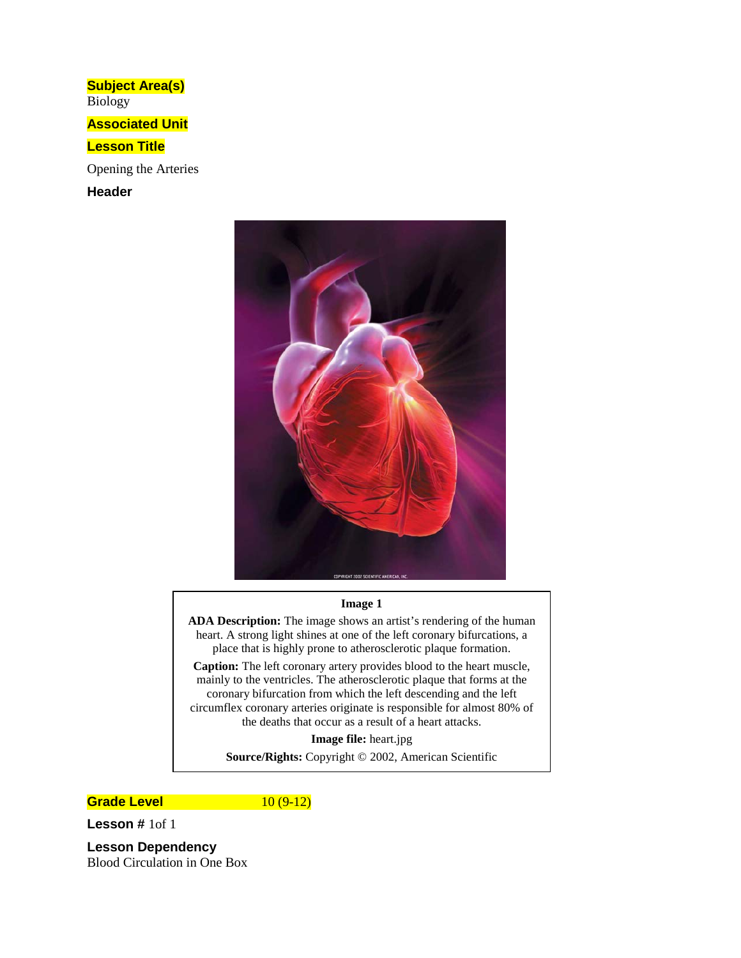**Subject Area(s)** Biology

**Associated Unit**

## **Lesson Title**

Opening the Arteries

**Header**



#### **Image 1**

**ADA Description:** The image shows an artist's rendering of the human heart. A strong light shines at one of the left coronary bifurcations, a place that is highly prone to atherosclerotic plaque formation.

**Caption:** The left coronary artery provides blood to the heart muscle, mainly to the ventricles. The atherosclerotic plaque that forms at the coronary bifurcation from which the left descending and the left circumflex coronary arteries originate is responsible for almost 80% of the deaths that occur as a result of a heart attacks.

**Image file:** heart.jpg

**Source/Rights:** Copyright © 2002, American Scientific

## **Grade Level** 10 (9-12)

**Lesson #** 1of 1

**Lesson Dependency** Blood Circulation in One Box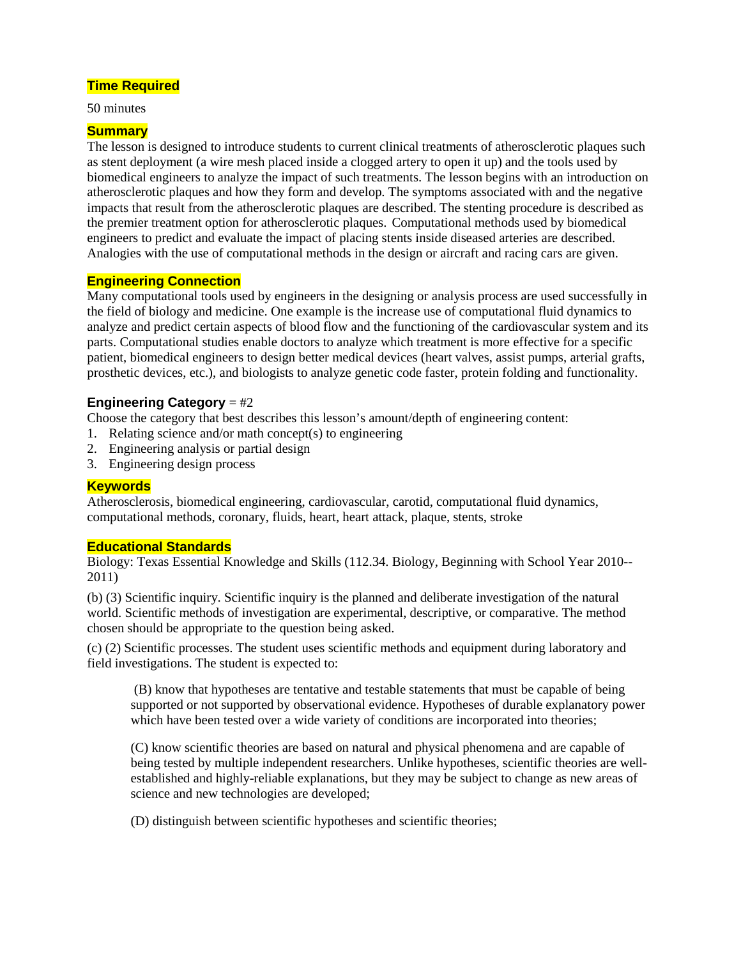# **Time Required**

50 minutes

# **Summary**

The lesson is designed to introduce students to current clinical treatments of atherosclerotic plaques such as stent deployment (a wire mesh placed inside a clogged artery to open it up) and the tools used by biomedical engineers to analyze the impact of such treatments. The lesson begins with an introduction on atherosclerotic plaques and how they form and develop. The symptoms associated with and the negative impacts that result from the atherosclerotic plaques are described. The stenting procedure is described as the premier treatment option for atherosclerotic plaques. Computational methods used by biomedical engineers to predict and evaluate the impact of placing stents inside diseased arteries are described. Analogies with the use of computational methods in the design or aircraft and racing cars are given.

# **Engineering Connection**

Many computational tools used by engineers in the designing or analysis process are used successfully in the field of biology and medicine. One example is the increase use of computational fluid dynamics to analyze and predict certain aspects of blood flow and the functioning of the cardiovascular system and its parts. Computational studies enable doctors to analyze which treatment is more effective for a specific patient, biomedical engineers to design better medical devices (heart valves, assist pumps, arterial grafts, prosthetic devices, etc.), and biologists to analyze genetic code faster, protein folding and functionality.

# **Engineering Category** = #2

Choose the category that best describes this lesson's amount/depth of engineering content:

- 1. Relating science and/or math concept(s) to engineering
- 2. Engineering analysis or partial design
- 3. Engineering design process

# **Keywords**

Atherosclerosis, biomedical engineering, cardiovascular, carotid, computational fluid dynamics, computational methods, coronary, fluids, heart, heart attack, plaque, stents, stroke

# **Educational Standards**

Biology: Texas Essential Knowledge and Skills (112.34. Biology, Beginning with School Year 2010-- 2011)

(b) (3) Scientific inquiry. Scientific inquiry is the planned and deliberate investigation of the natural world. Scientific methods of investigation are experimental, descriptive, or comparative. The method chosen should be appropriate to the question being asked.

(c) (2) Scientific processes. The student uses scientific methods and equipment during laboratory and field investigations. The student is expected to:

(B) know that hypotheses are tentative and testable statements that must be capable of being supported or not supported by observational evidence. Hypotheses of durable explanatory power which have been tested over a wide variety of conditions are incorporated into theories;

(C) know scientific theories are based on natural and physical phenomena and are capable of being tested by multiple independent researchers. Unlike hypotheses, scientific theories are wellestablished and highly-reliable explanations, but they may be subject to change as new areas of science and new technologies are developed;

(D) distinguish between scientific hypotheses and scientific theories;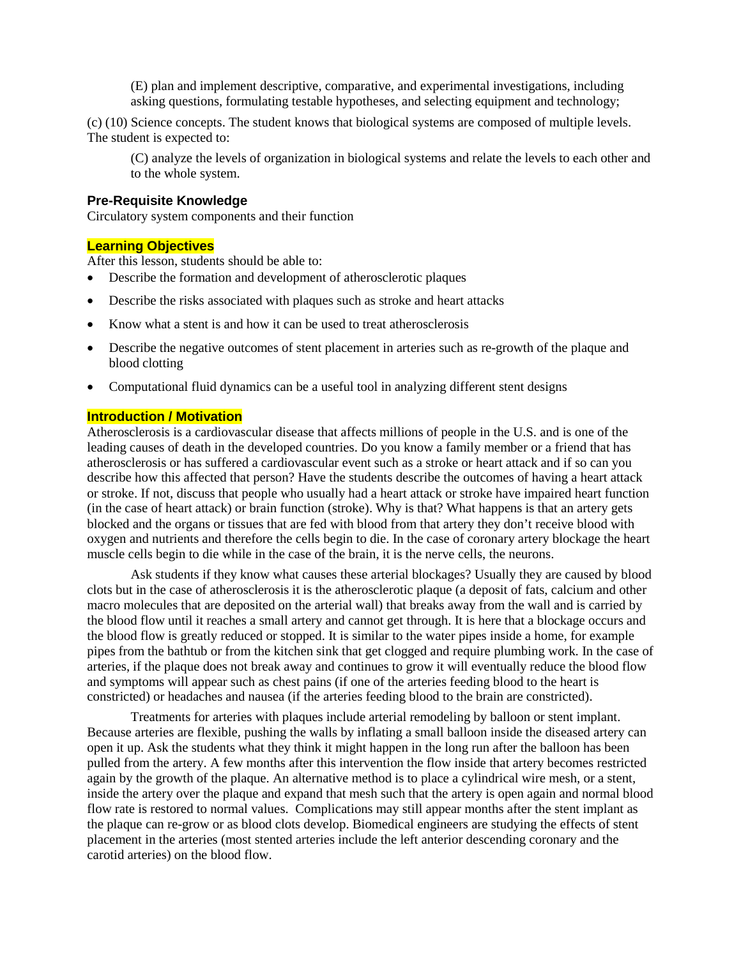(E) plan and implement descriptive, comparative, and experimental investigations, including asking questions, formulating testable hypotheses, and selecting equipment and technology;

(c) (10) Science concepts. The student knows that biological systems are composed of multiple levels. The student is expected to:

(C) analyze the levels of organization in biological systems and relate the levels to each other and to the whole system.

# **Pre-Requisite Knowledge**

Circulatory system components and their function

# **Learning Objectives**

After this lesson, students should be able to:

- Describe the formation and development of atherosclerotic plaques
- Describe the risks associated with plaques such as stroke and heart attacks
- Know what a stent is and how it can be used to treat atherosclerosis
- Describe the negative outcomes of stent placement in arteries such as re-growth of the plaque and blood clotting
- Computational fluid dynamics can be a useful tool in analyzing different stent designs

### **Introduction / Motivation**

Atherosclerosis is a cardiovascular disease that affects millions of people in the U.S. and is one of the leading causes of death in the developed countries. Do you know a family member or a friend that has atherosclerosis or has suffered a cardiovascular event such as a stroke or heart attack and if so can you describe how this affected that person? Have the students describe the outcomes of having a heart attack or stroke. If not, discuss that people who usually had a heart attack or stroke have impaired heart function (in the case of heart attack) or brain function (stroke). Why is that? What happens is that an artery gets blocked and the organs or tissues that are fed with blood from that artery they don't receive blood with oxygen and nutrients and therefore the cells begin to die. In the case of coronary artery blockage the heart muscle cells begin to die while in the case of the brain, it is the nerve cells, the neurons.

Ask students if they know what causes these arterial blockages? Usually they are caused by blood clots but in the case of atherosclerosis it is the atherosclerotic plaque (a deposit of fats, calcium and other macro molecules that are deposited on the arterial wall) that breaks away from the wall and is carried by the blood flow until it reaches a small artery and cannot get through. It is here that a blockage occurs and the blood flow is greatly reduced or stopped. It is similar to the water pipes inside a home, for example pipes from the bathtub or from the kitchen sink that get clogged and require plumbing work. In the case of arteries, if the plaque does not break away and continues to grow it will eventually reduce the blood flow and symptoms will appear such as chest pains (if one of the arteries feeding blood to the heart is constricted) or headaches and nausea (if the arteries feeding blood to the brain are constricted).

Treatments for arteries with plaques include arterial remodeling by balloon or stent implant. Because arteries are flexible, pushing the walls by inflating a small balloon inside the diseased artery can open it up. Ask the students what they think it might happen in the long run after the balloon has been pulled from the artery. A few months after this intervention the flow inside that artery becomes restricted again by the growth of the plaque. An alternative method is to place a cylindrical wire mesh, or a stent, inside the artery over the plaque and expand that mesh such that the artery is open again and normal blood flow rate is restored to normal values. Complications may still appear months after the stent implant as the plaque can re-grow or as blood clots develop. Biomedical engineers are studying the effects of stent placement in the arteries (most stented arteries include the left anterior descending coronary and the carotid arteries) on the blood flow.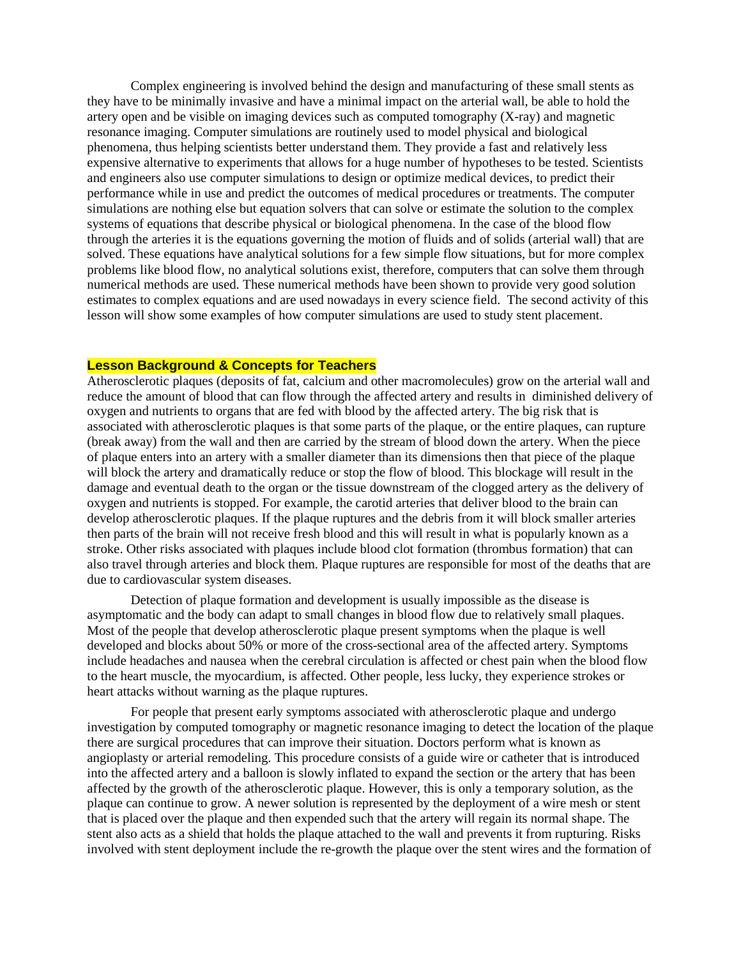Complex engineering is involved behind the design and manufacturing of these small stents as they have to be minimally invasive and have a minimal impact on the arterial wall, be able to hold the artery open and be visible on imaging devices such as computed tomography (X-ray) and magnetic resonance imaging. Computer simulations are routinely used to model physical and biological phenomena, thus helping scientists better understand them. They provide a fast and relatively less expensive alternative to experiments that allows for a huge number of hypotheses to be tested. Scientists and engineers also use computer simulations to design or optimize medical devices, to predict their performance while in use and predict the outcomes of medical procedures or treatments. The computer simulations are nothing else but equation solvers that can solve or estimate the solution to the complex systems of equations that describe physical or biological phenomena. In the case of the blood flow through the arteries it is the equations governing the motion of fluids and of solids (arterial wall) that are solved. These equations have analytical solutions for a few simple flow situations, but for more complex problems like blood flow, no analytical solutions exist, therefore, computers that can solve them through numerical methods are used. These numerical methods have been shown to provide very good solution estimates to complex equations and are used nowadays in every science field. The second activity of this lesson will show some examples of how computer simulations are used to study stent placement.

#### **Lesson Background & Concepts for Teachers**

Atherosclerotic plaques (deposits of fat, calcium and other macromolecules) grow on the arterial wall and reduce the amount of blood that can flow through the affected artery and results in diminished delivery of oxygen and nutrients to organs that are fed with blood by the affected artery. The big risk that is associated with atherosclerotic plaques is that some parts of the plaque, or the entire plaques, can rupture (break away) from the wall and then are carried by the stream of blood down the artery. When the piece of plaque enters into an artery with a smaller diameter than its dimensions then that piece of the plaque will block the artery and dramatically reduce or stop the flow of blood. This blockage will result in the damage and eventual death to the organ or the tissue downstream of the clogged artery as the delivery of oxygen and nutrients is stopped. For example, the carotid arteries that deliver blood to the brain can develop atherosclerotic plaques. If the plaque ruptures and the debris from it will block smaller arteries then parts of the brain will not receive fresh blood and this will result in what is popularly known as a stroke. Other risks associated with plaques include blood clot formation (thrombus formation) that can also travel through arteries and block them. Plaque ruptures are responsible for most of the deaths that are due to cardiovascular system diseases.

Detection of plaque formation and development is usually impossible as the disease is asymptomatic and the body can adapt to small changes in blood flow due to relatively small plaques. Most of the people that develop atherosclerotic plaque present symptoms when the plaque is well developed and blocks about 50% or more of the cross-sectional area of the affected artery. Symptoms include headaches and nausea when the cerebral circulation is affected or chest pain when the blood flow to the heart muscle, the myocardium, is affected. Other people, less lucky, they experience strokes or heart attacks without warning as the plaque ruptures.

For people that present early symptoms associated with atherosclerotic plaque and undergo investigation by computed tomography or magnetic resonance imaging to detect the location of the plaque there are surgical procedures that can improve their situation. Doctors perform what is known as angioplasty or arterial remodeling. This procedure consists of a guide wire or catheter that is introduced into the affected artery and a balloon is slowly inflated to expand the section or the artery that has been affected by the growth of the atherosclerotic plaque. However, this is only a temporary solution, as the plaque can continue to grow. A newer solution is represented by the deployment of a wire mesh or stent that is placed over the plaque and then expended such that the artery will regain its normal shape. The stent also acts as a shield that holds the plaque attached to the wall and prevents it from rupturing. Risks involved with stent deployment include the re-growth the plaque over the stent wires and the formation of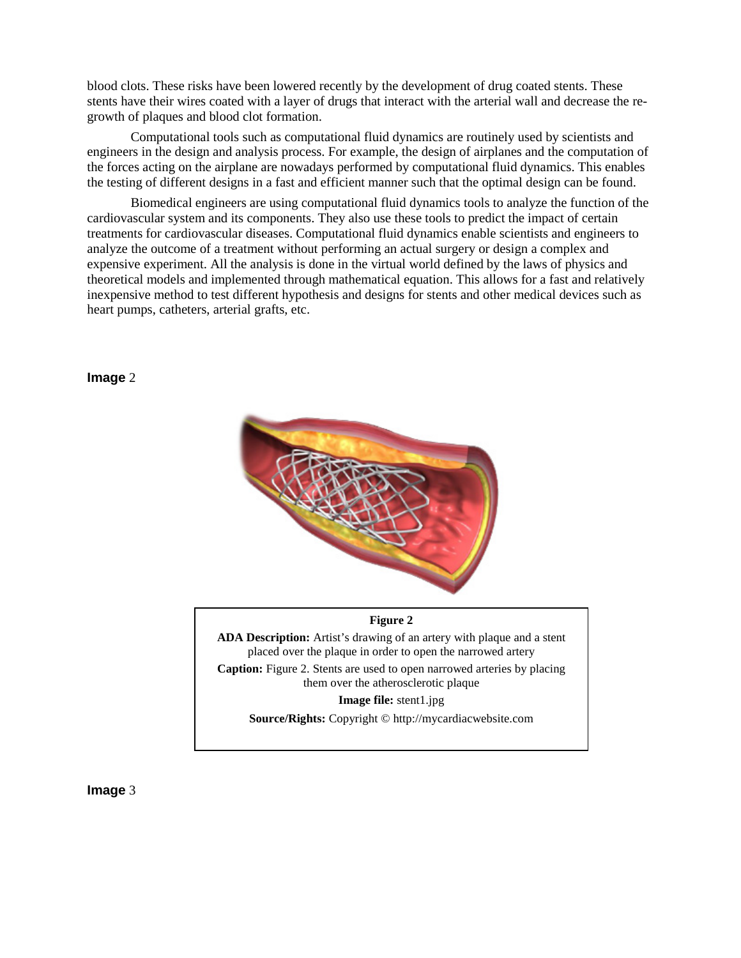blood clots. These risks have been lowered recently by the development of drug coated stents. These stents have their wires coated with a layer of drugs that interact with the arterial wall and decrease the regrowth of plaques and blood clot formation.

Computational tools such as computational fluid dynamics are routinely used by scientists and engineers in the design and analysis process. For example, the design of airplanes and the computation of the forces acting on the airplane are nowadays performed by computational fluid dynamics. This enables the testing of different designs in a fast and efficient manner such that the optimal design can be found.

Biomedical engineers are using computational fluid dynamics tools to analyze the function of the cardiovascular system and its components. They also use these tools to predict the impact of certain treatments for cardiovascular diseases. Computational fluid dynamics enable scientists and engineers to analyze the outcome of a treatment without performing an actual surgery or design a complex and expensive experiment. All the analysis is done in the virtual world defined by the laws of physics and theoretical models and implemented through mathematical equation. This allows for a fast and relatively inexpensive method to test different hypothesis and designs for stents and other medical devices such as heart pumps, catheters, arterial grafts, etc.

#### **Image** 2



#### **Figure 2**

**ADA Description:** Artist's drawing of an artery with plaque and a stent placed over the plaque in order to open the narrowed artery **Caption:** Figure 2. Stents are used to open narrowed arteries by placing

them over the atherosclerotic plaque

**Image file:** stent1.jpg

**Source/Rights:** Copyright © http://mycardiacwebsite.com

**Image** 3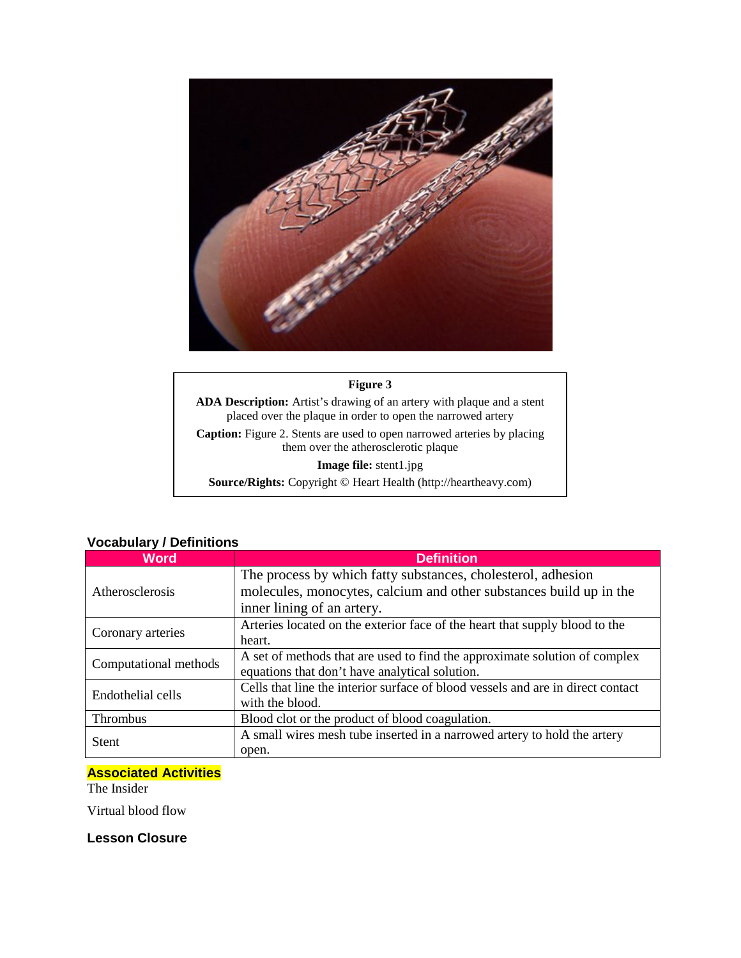

# **Figure 3**

**ADA Description:** Artist's drawing of an artery with plaque and a stent placed over the plaque in order to open the narrowed artery **Caption:** Figure 2. Stents are used to open narrowed arteries by placing them over the atherosclerotic plaque **Image file:** stent1.jpg

**Source/Rights:** Copyright © Heart Health (http://heartheavy.com)

| <b>Word</b>           | <b>Definition</b>                                                               |
|-----------------------|---------------------------------------------------------------------------------|
| Atherosclerosis       | The process by which fatty substances, cholesterol, adhesion                    |
|                       | molecules, monocytes, calcium and other substances build up in the              |
|                       | inner lining of an artery.                                                      |
| Coronary arteries     | Arteries located on the exterior face of the heart that supply blood to the     |
|                       | heart.                                                                          |
| Computational methods | A set of methods that are used to find the approximate solution of complex      |
|                       | equations that don't have analytical solution.                                  |
| Endothelial cells     | Cells that line the interior surface of blood vessels and are in direct contact |
|                       | with the blood.                                                                 |
| Thrombus              | Blood clot or the product of blood coagulation.                                 |
| <b>Stent</b>          | A small wires mesh tube inserted in a narrowed artery to hold the artery        |
|                       | open.                                                                           |

# **Vocabulary / Definitions**

# **Associated Activities**

The Insider

Virtual blood flow

**Lesson Closure**